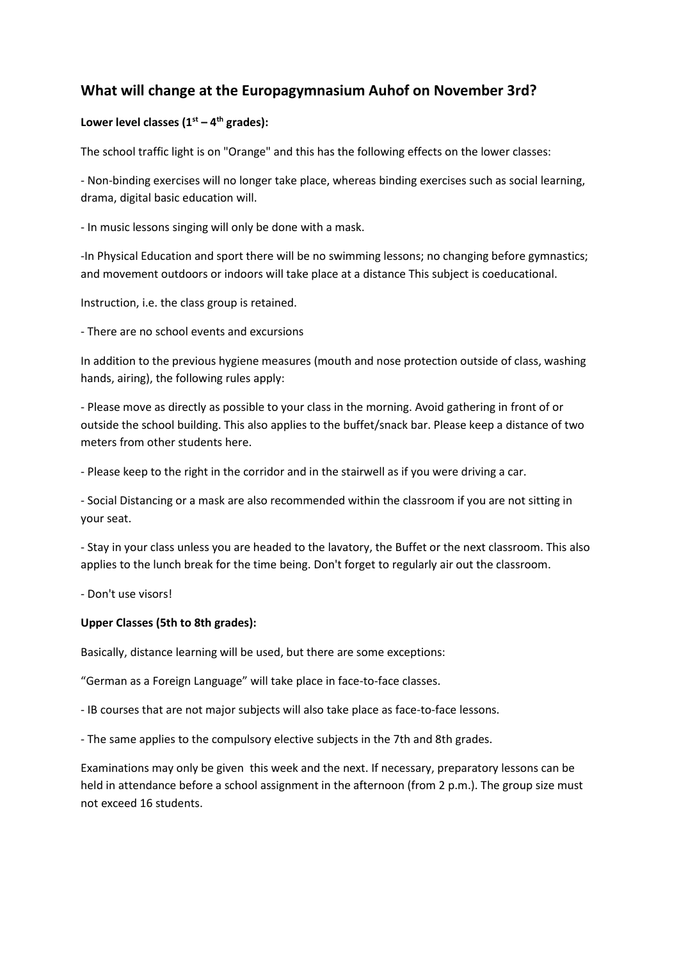# **What will change at the Europagymnasium Auhof on November 3rd?**

## **Lower level classes (1st – 4 th grades):**

The school traffic light is on "Orange" and this has the following effects on the lower classes:

- Non-binding exercises will no longer take place, whereas binding exercises such as social learning, drama, digital basic education will.

- In music lessons singing will only be done with a mask.

-In Physical Education and sport there will be no swimming lessons; no changing before gymnastics; and movement outdoors or indoors will take place at a distance This subject is coeducational.

Instruction, i.e. the class group is retained.

- There are no school events and excursions

In addition to the previous hygiene measures (mouth and nose protection outside of class, washing hands, airing), the following rules apply:

- Please move as directly as possible to your class in the morning. Avoid gathering in front of or outside the school building. This also applies to the buffet/snack bar. Please keep a distance of two meters from other students here.

- Please keep to the right in the corridor and in the stairwell as if you were driving a car.

- Social Distancing or a mask are also recommended within the classroom if you are not sitting in your seat.

- Stay in your class unless you are headed to the lavatory, the Buffet or the next classroom. This also applies to the lunch break for the time being. Don't forget to regularly air out the classroom.

- Don't use visors!

#### **Upper Classes (5th to 8th grades):**

Basically, distance learning will be used, but there are some exceptions:

"German as a Foreign Language" will take place in face-to-face classes.

- IB courses that are not major subjects will also take place as face-to-face lessons.

- The same applies to the compulsory elective subjects in the 7th and 8th grades.

Examinations may only be given this week and the next. If necessary, preparatory lessons can be held in attendance before a school assignment in the afternoon (from 2 p.m.). The group size must not exceed 16 students.